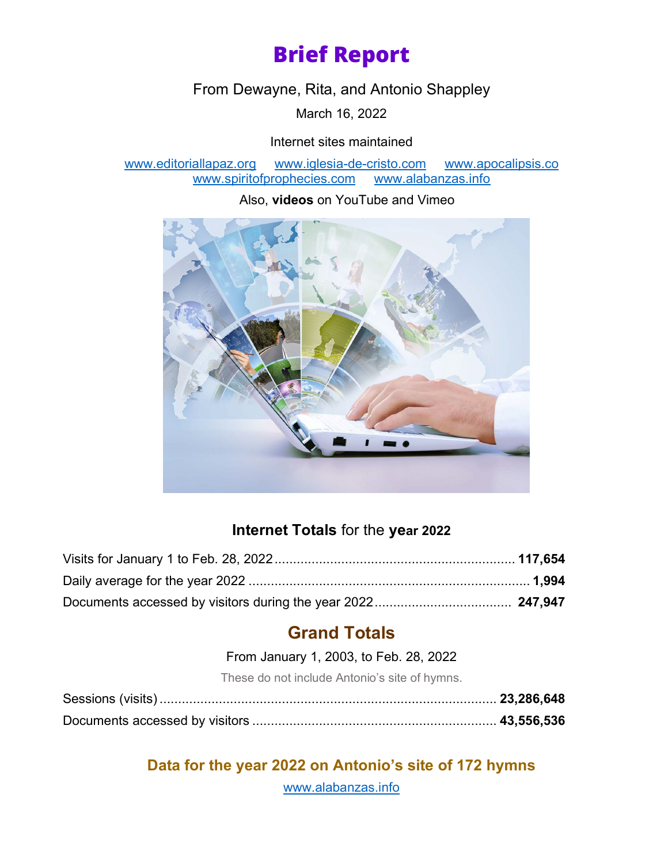# **Brief Report**

From Dewayne, Rita, and Antonio Shappley

March 16, 2022

#### Internet sites maintained

[www.editoriallapaz.org](http://www.editoriallapaz.org/) [www.iglesia-de-cristo.com](http://www.iglesia-de-cristo.com/) www.apocalipsis.com<br>www.spiritofprophecies.com www.alabanzas.info www.spiritofprophecies.com

Also, **videos** on YouTube and Vimeo



### **Internet Totals** for the **year 2022**

## **Grand Totals**

From January 1, 2003, to Feb. 28, 2022

These do not include Antonio's site of hymns.

**Data for the year 2022 on Antonio's site of 172 hymns**

[www.alabanzas.info](http://www.alabanzas.info/)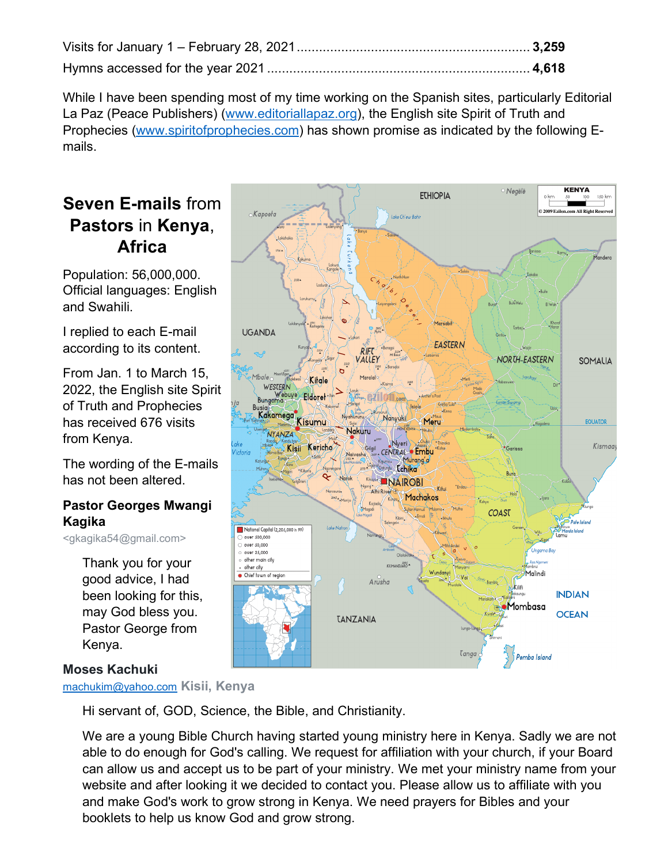While I have been spending most of my time working on the Spanish sites, particularly Editorial La Paz (Peace Publishers) [\(www.editoriallapaz.org\)](http://www.editoriallapaz.org/), the English site Spirit of Truth and Prophecies [\(www.spiritofprophecies.com\)](http://www.spiritofprophecies.com/) has shown promise as indicated by the following Emails.

### **Seven E-mails** from **Pastors** in **Kenya**, **Africa**

Population: 56,000,000. Official languages: English and Swahili.

I replied to each E-mail according to its content.

From Jan. 1 to March 15, 2022, the English site Spirit of Truth and Prophecies has received 676 visits from Kenya.

The wording of the E-mails has not been altered.

#### **Pastor Georges Mwangi Kagika**

<gkagika54@gmail.com>

Thank you for your good advice, I had been looking for this, may God bless you. Pastor George from Kenya.

#### **Moses Kachuki**

[machukim@yahoo.com](mailto:machukim@yahoo.com) **Kisii, Kenya**

Hi servant of, GOD, Science, the Bible, and Christianity.

We are a young Bible Church having started young ministry here in Kenya. Sadly we are not able to do enough for God's calling. We request for affiliation with your church, if your Board can allow us and accept us to be part of your ministry. We met your ministry name from your website and after looking it we decided to contact you. Please allow us to affiliate with you and make God's work to grow strong in Kenya. We need prayers for Bibles and your booklets to help us know God and grow strong.

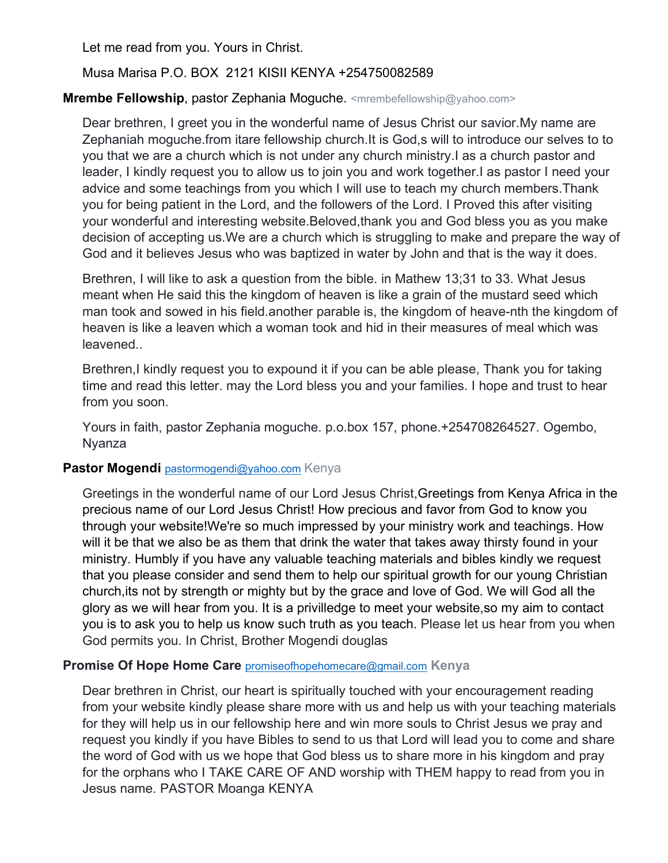Let me read from you. Yours in Christ.

#### Musa Marisa P.O. BOX 2121 KISII KENYA +254750082589

#### **Mrembe Fellowship**, pastor Zephania Moguche. <mrembefellowship@yahoo.com>

Dear brethren, I greet you in the wonderful name of Jesus Christ our savior.My name are Zephaniah moguche.from itare fellowship church.It is God,s will to introduce our selves to to you that we are a church which is not under any church ministry.I as a church pastor and leader, I kindly request you to allow us to join you and work together.I as pastor I need your advice and some teachings from you which I will use to teach my church members.Thank you for being patient in the Lord, and the followers of the Lord. I Proved this after visiting your wonderful and interesting website.Beloved,thank you and God bless you as you make decision of accepting us.We are a church which is struggling to make and prepare the way of God and it believes Jesus who was baptized in water by John and that is the way it does.

Brethren, I will like to ask a question from the bible. in Mathew 13;31 to 33. What Jesus meant when He said this the kingdom of heaven is like a grain of the mustard seed which man took and sowed in his field.another parable is, the kingdom of heave-nth the kingdom of heaven is like a leaven which a woman took and hid in their measures of meal which was leavened..

Brethren,I kindly request you to expound it if you can be able please, Thank you for taking time and read this letter. may the Lord bless you and your families. I hope and trust to hear from you soon.

Yours in faith, pastor Zephania moguche. p.o.box 157, phone.+254708264527. Ogembo, Nyanza

#### **Pastor Mogendi [pastormogendi@yahoo.com](mailto:pastormogendi@yahoo.com) Kenya**

Greetings in the wonderful name of our Lord Jesus Christ,Greetings from Kenya Africa in the precious name of our Lord Jesus Christ! How precious and favor from God to know you through your website!We're so much impressed by your ministry work and teachings. How will it be that we also be as them that drink the water that takes away thirsty found in your ministry. Humbly if you have any valuable teaching materials and bibles kindly we request that you please consider and send them to help our spiritual growth for our young Christian church,its not by strength or mighty but by the grace and love of God. We will God all the glory as we will hear from you. It is a privilledge to meet your website,so my aim to contact you is to ask you to help us know such truth as you teach. Please let us hear from you when God permits you. In Christ, Brother Mogendi douglas

#### **Promise Of Hope Home Care** [promiseofhopehomecare@gmail.com](mailto:promiseofhopehomecare@gmail.com) **Kenya**

Dear brethren in Christ, our heart is spiritually touched with your encouragement reading from your website kindly please share more with us and help us with your teaching materials for they will help us in our fellowship here and win more souls to Christ Jesus we pray and request you kindly if you have Bibles to send to us that Lord will lead you to come and share the word of God with us we hope that God bless us to share more in his kingdom and pray for the orphans who I TAKE CARE OF AND worship with THEM happy to read from you in Jesus name. PASTOR Moanga KENYA